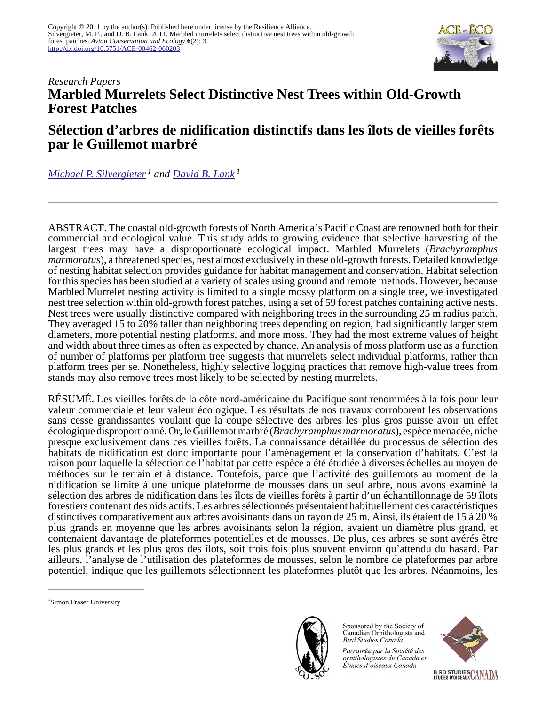

## *Research Papers* **Marbled Murrelets Select Distinctive Nest Trees within Old-Growth Forest Patches**

# **Sélection d'arbres de nidification distinctifs dans les îlots de vieilles forêts par le Guillemot marbré**

*[Michael P. Silvergieter](mailto:msilvergieter@yahoo.com)<sup>1</sup> and [David B. Lank](mailto:dlank@sfu.ca)<sup>1</sup>*

ABSTRACT. The coastal old-growth forests of North America's Pacific Coast are renowned both for their commercial and ecological value. This study adds to growing evidence that selective harvesting of the largest trees may have a disproportionate ecological impact. Marbled Murrelets (*Brachyramphus marmoratus*), a threatened species, nest almost exclusively in these old-growth forests. Detailed knowledge of nesting habitat selection provides guidance for habitat management and conservation. Habitat selection for this species has been studied at a variety of scales using ground and remote methods. However, because Marbled Murrelet nesting activity is limited to a single mossy platform on a single tree, we investigated nest tree selection within old-growth forest patches, using a set of 59 forest patches containing active nests. Nest trees were usually distinctive compared with neighboring trees in the surrounding 25 m radius patch. They averaged 15 to 20% taller than neighboring trees depending on region, had significantly larger stem diameters, more potential nesting platforms, and more moss. They had the most extreme values of height and width about three times as often as expected by chance. An analysis of moss platform use as a function of number of platforms per platform tree suggests that murrelets select individual platforms, rather than platform trees per se. Nonetheless, highly selective logging practices that remove high-value trees from stands may also remove trees most likely to be selected by nesting murrelets.

RÉSUMÉ. Les vieilles forêts de la côte nord-américaine du Pacifique sont renommées à la fois pour leur valeur commerciale et leur valeur écologique. Les résultats de nos travaux corroborent les observations sans cesse grandissantes voulant que la coupe sélective des arbres les plus gros puisse avoir un effet écologique disproportionné. Or, le Guillemot marbré (*Brachyramphus marmoratus*), espèce menacée, niche presque exclusivement dans ces vieilles forêts. La connaissance détaillée du processus de sélection des habitats de nidification est donc importante pour l'aménagement et la conservation d'habitats. C'est la raison pour laquelle la sélection de l'habitat par cette espèce a été étudiée à diverses échelles au moyen de méthodes sur le terrain et à distance. Toutefois, parce que l'activité des guillemots au moment de la nidification se limite à une unique plateforme de mousses dans un seul arbre, nous avons examiné la sélection des arbres de nidification dans les îlots de vieilles forêts à partir d'un échantillonnage de 59 îlots forestiers contenant des nids actifs. Les arbres sélectionnés présentaient habituellement des caractéristiques distinctives comparativement aux arbres avoisinants dans un rayon de 25 m. Ainsi, ils étaient de 15 à 20 % plus grands en moyenne que les arbres avoisinants selon la région, avaient un diamètre plus grand, et contenaient davantage de plateformes potentielles et de mousses. De plus, ces arbres se sont avérés être les plus grands et les plus gros des îlots, soit trois fois plus souvent environ qu'attendu du hasard. Par ailleurs, l'analyse de l'utilisation des plateformes de mousses, selon le nombre de plateformes par arbre potentiel, indique que les guillemots sélectionnent les plateformes plutôt que les arbres. Néanmoins, les



Sponsored by the Society of Canadian Ornithologists and **Bird Studies Canada** 

Parrainée par la Société des ornithologistes du Canada et Études d'oiseaux Canada



<sup>&</sup>lt;sup>1</sup>Simon Fraser University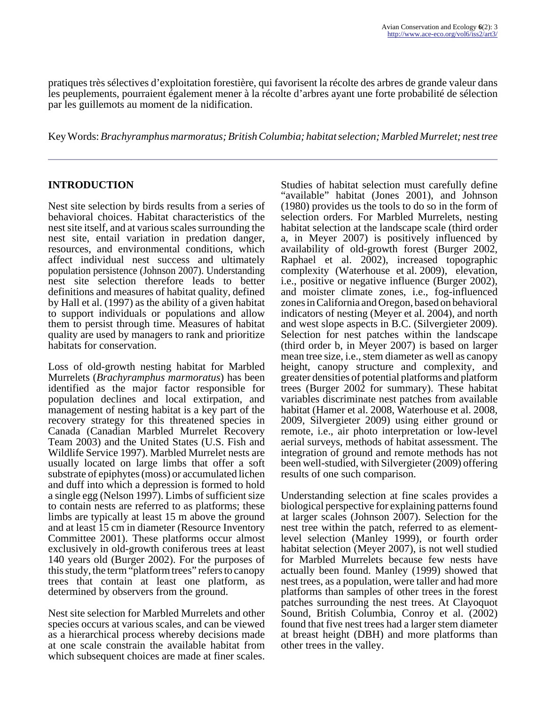pratiques très sélectives d'exploitation forestière, qui favorisent la récolte des arbres de grande valeur dans les peuplements, pourraient également mener à la récolte d'arbres ayant une forte probabilité de sélection par les guillemots au moment de la nidification.

Key Words: *Brachyramphus marmoratus; British Columbia; habitat selection; Marbled Murrelet; nest tree*

### **INTRODUCTION**

Nest site selection by birds results from a series of behavioral choices. Habitat characteristics of the nest site itself, and at various scales surrounding the nest site, entail variation in predation danger, resources, and environmental conditions, which affect individual nest success and ultimately population persistence (Johnson 2007). Understanding nest site selection therefore leads to better definitions and measures of habitat quality, defined by Hall et al. (1997) as the ability of a given habitat to support individuals or populations and allow them to persist through time. Measures of habitat quality are used by managers to rank and prioritize habitats for conservation.

Loss of old-growth nesting habitat for Marbled Murrelets (*Brachyramphus marmoratus*) has been identified as the major factor responsible for population declines and local extirpation, and management of nesting habitat is a key part of the recovery strategy for this threatened species in Canada (Canadian Marbled Murrelet Recovery Team 2003) and the United States (U.S. Fish and Wildlife Service 1997). Marbled Murrelet nests are usually located on large limbs that offer a soft substrate of epiphytes (moss) or accumulated lichen and duff into which a depression is formed to hold a single egg (Nelson 1997). Limbs of sufficient size to contain nests are referred to as platforms; these limbs are typically at least 15 m above the ground and at least 15 cm in diameter (Resource Inventory Committee 2001). These platforms occur almost exclusively in old-growth coniferous trees at least 140 years old (Burger 2002). For the purposes of this study, the term "platform trees" refers to canopy trees that contain at least one platform, as determined by observers from the ground.

Nest site selection for Marbled Murrelets and other species occurs at various scales, and can be viewed as a hierarchical process whereby decisions made at one scale constrain the available habitat from which subsequent choices are made at finer scales. Studies of habitat selection must carefully define "available" habitat (Jones 2001), and Johnson (1980) provides us the tools to do so in the form of selection orders. For Marbled Murrelets, nesting habitat selection at the landscape scale (third order a, in Meyer 2007) is positively influenced by availability of old-growth forest (Burger 2002, Raphael et al. 2002), increased topographic complexity (Waterhouse et al. 2009), elevation, i.e., positive or negative influence (Burger 2002), and moister climate zones, i.e., fog-influenced zones in California and Oregon, based on behavioral indicators of nesting (Meyer et al. 2004), and north and west slope aspects in B.C. (Silvergieter 2009). Selection for nest patches within the landscape (third order b, in Meyer 2007) is based on larger mean tree size, i.e., stem diameter as well as canopy height, canopy structure and complexity, and greater densities of potential platforms and platform trees (Burger 2002 for summary). These habitat variables discriminate nest patches from available habitat (Hamer et al. 2008, Waterhouse et al. 2008, 2009, Silvergieter 2009) using either ground or remote, i.e., air photo interpretation or low-level aerial surveys, methods of habitat assessment. The integration of ground and remote methods has not been well-studied, with Silvergieter (2009) offering results of one such comparison.

Understanding selection at fine scales provides a biological perspective for explaining patterns found at larger scales (Johnson 2007). Selection for the nest tree within the patch, referred to as elementlevel selection (Manley 1999), or fourth order habitat selection (Meyer 2007), is not well studied for Marbled Murrelets because few nests have actually been found. Manley (1999) showed that nest trees, as a population, were taller and had more platforms than samples of other trees in the forest patches surrounding the nest trees. At Clayoquot Sound, British Columbia, Conroy et al. (2002) found that five nest trees had a larger stem diameter at breast height (DBH) and more platforms than other trees in the valley.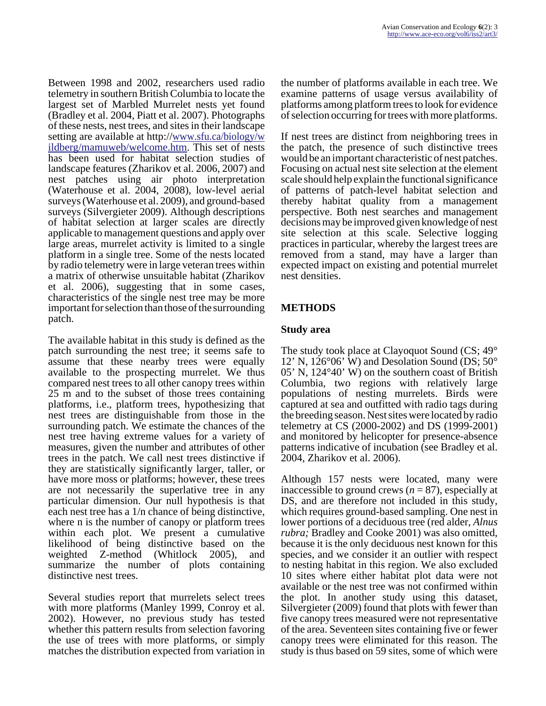Between 1998 and 2002, researchers used radio telemetry in southern British Columbia to locate the largest set of Marbled Murrelet nests yet found (Bradley et al. 2004, Piatt et al. 2007). Photographs of these nests, nest trees, and sites in their landscape setting are available at http:/[/www.sfu.ca/biology/w](http://www.sfu.ca/biology/wildberg/mamuweb/welcome.htm) [ildberg/mamuweb/welcome.htm.](http://www.sfu.ca/biology/wildberg/mamuweb/welcome.htm) This set of nests has been used for habitat selection studies of landscape features (Zharikov et al. 2006, 2007) and nest patches using air photo interpretation (Waterhouse et al. 2004, 2008), low-level aerial surveys (Waterhouse et al. 2009), and ground-based surveys (Silvergieter 2009). Although descriptions of habitat selection at larger scales are directly applicable to management questions and apply over large areas, murrelet activity is limited to a single platform in a single tree. Some of the nests located by radio telemetry were in large veteran trees within a matrix of otherwise unsuitable habitat (Zharikov et al. 2006), suggesting that in some cases, characteristics of the single nest tree may be more important for selection than those of the surrounding patch.

The available habitat in this study is defined as the patch surrounding the nest tree; it seems safe to assume that these nearby trees were equally available to the prospecting murrelet. We thus compared nest trees to all other canopy trees within 25 m and to the subset of those trees containing platforms, i.e., platform trees, hypothesizing that nest trees are distinguishable from those in the surrounding patch. We estimate the chances of the nest tree having extreme values for a variety of measures, given the number and attributes of other trees in the patch. We call nest trees distinctive if they are statistically significantly larger, taller, or have more moss or platforms; however, these trees are not necessarily the superlative tree in any particular dimension. Our null hypothesis is that each nest tree has a 1/n chance of being distinctive, where n is the number of canopy or platform trees within each plot. We present a cumulative likelihood of being distinctive based on the weighted Z-method (Whitlock 2005), and summarize the number of plots containing distinctive nest trees.

Several studies report that murrelets select trees with more platforms (Manley 1999, Conroy et al. 2002). However, no previous study has tested whether this pattern results from selection favoring the use of trees with more platforms, or simply matches the distribution expected from variation in

the number of platforms available in each tree. We examine patterns of usage versus availability of platforms among platform trees to look for evidence of selection occurring for trees with more platforms.

If nest trees are distinct from neighboring trees in the patch, the presence of such distinctive trees would be an important characteristic of nest patches. Focusing on actual nest site selection at the element scale should help explain the functional significance of patterns of patch-level habitat selection and thereby habitat quality from a management perspective. Both nest searches and management decisions may be improved given knowledge of nest site selection at this scale. Selective logging practices in particular, whereby the largest trees are removed from a stand, may have a larger than expected impact on existing and potential murrelet nest densities.

### **METHODS**

### **Study area**

The study took place at Clayoquot Sound (CS; 49°  $12'$  N,  $126^{\circ}06'$  W) and Desolation Sound (DS;  $50^{\circ}$ ) 05' N, 124°40' W) on the southern coast of British Columbia, two regions with relatively large populations of nesting murrelets. Birds were captured at sea and outfitted with radio tags during the breeding season. Nest sites were located by radio telemetry at CS (2000-2002) and DS (1999-2001) and monitored by helicopter for presence-absence patterns indicative of incubation (see Bradley et al. 2004, Zharikov et al. 2006).

Although 157 nests were located, many were inaccessible to ground crews  $(n = 87)$ , especially at DS, and are therefore not included in this study, which requires ground-based sampling. One nest in lower portions of a deciduous tree (red alder, *Alnus rubra;* Bradley and Cooke 2001) was also omitted, because it is the only deciduous nest known for this species, and we consider it an outlier with respect to nesting habitat in this region. We also excluded 10 sites where either habitat plot data were not available or the nest tree was not confirmed within the plot. In another study using this dataset, Silvergieter (2009) found that plots with fewer than five canopy trees measured were not representative of the area. Seventeen sites containing five or fewer canopy trees were eliminated for this reason. The study is thus based on 59 sites, some of which were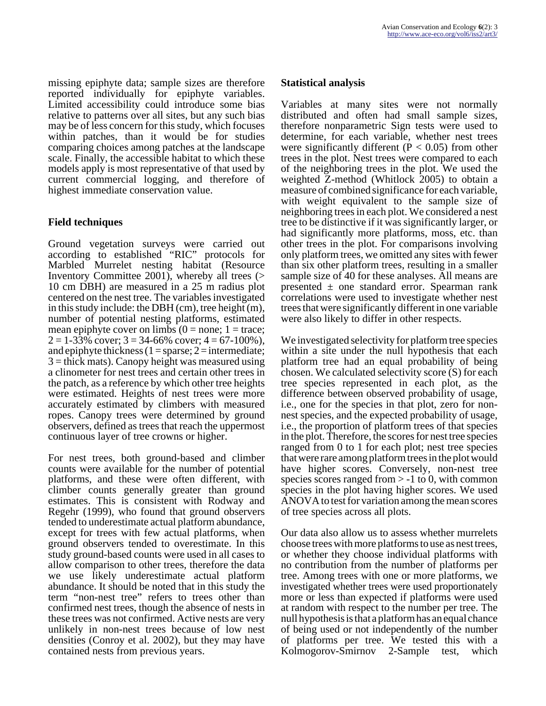missing epiphyte data; sample sizes are therefore reported individually for epiphyte variables. Limited accessibility could introduce some bias relative to patterns over all sites, but any such bias may be of less concern for this study, which focuses within patches, than it would be for studies comparing choices among patches at the landscape scale. Finally, the accessible habitat to which these models apply is most representative of that used by current commercial logging, and therefore of highest immediate conservation value.

### **Field techniques**

Ground vegetation surveys were carried out according to established "RIC" protocols for Marbled Murrelet nesting habitat (Resource Inventory Committee 2001), whereby all trees (> 10 cm DBH) are measured in a 25 m radius plot centered on the nest tree. The variables investigated in this study include: the DBH (cm), tree height (m), number of potential nesting platforms, estimated mean epiphyte cover on limbs  $(0 = none; 1 = trace;$  $2 = 1-33\%$  cover;  $3 = 34-66\%$  cover;  $4 = 67-100\%$ ), and epiphyte thickness  $(1 = sparse; 2 = intermediate;$  $3 =$  thick mats). Canopy height was measured using a clinometer for nest trees and certain other trees in the patch, as a reference by which other tree heights were estimated. Heights of nest trees were more accurately estimated by climbers with measured ropes. Canopy trees were determined by ground observers, defined as trees that reach the uppermost continuous layer of tree crowns or higher.

For nest trees, both ground-based and climber counts were available for the number of potential platforms, and these were often different, with climber counts generally greater than ground estimates. This is consistent with Rodway and Regehr (1999), who found that ground observers tended to underestimate actual platform abundance, except for trees with few actual platforms, when ground observers tended to overestimate. In this study ground-based counts were used in all cases to allow comparison to other trees, therefore the data we use likely underestimate actual platform abundance. It should be noted that in this study the term "non-nest tree" refers to trees other than confirmed nest trees, though the absence of nests in these trees was not confirmed. Active nests are very unlikely in non-nest trees because of low nest densities (Conroy et al. 2002), but they may have contained nests from previous years.

#### **Statistical analysis**

Variables at many sites were not normally distributed and often had small sample sizes, therefore nonparametric Sign tests were used to determine, for each variable, whether nest trees were significantly different ( $P < 0.05$ ) from other trees in the plot. Nest trees were compared to each of the neighboring trees in the plot. We used the weighted Z-method (Whitlock 2005) to obtain a measure of combined significance for each variable, with weight equivalent to the sample size of neighboring trees in each plot. We considered a nest tree to be distinctive if it was significantly larger, or had significantly more platforms, moss, etc. than other trees in the plot. For comparisons involving only platform trees, we omitted any sites with fewer than six other platform trees, resulting in a smaller sample size of 40 for these analyses. All means are presented ± one standard error. Spearman rank correlations were used to investigate whether nest trees that were significantly different in one variable were also likely to differ in other respects.

We investigated selectivity for platform tree species within a site under the null hypothesis that each platform tree had an equal probability of being chosen. We calculated selectivity score (S) for each tree species represented in each plot, as the difference between observed probability of usage, i.e., one for the species in that plot, zero for nonnest species, and the expected probability of usage, i.e., the proportion of platform trees of that species in the plot. Therefore, the scores for nest tree species ranged from 0 to 1 for each plot; nest tree species that were rare among platform trees in the plot would have higher scores. Conversely, non-nest tree species scores ranged from  $> -1$  to 0, with common species in the plot having higher scores. We used ANOVA to test for variation among the mean scores of tree species across all plots.

Our data also allow us to assess whether murrelets choose trees with more platforms to use as nest trees, or whether they choose individual platforms with no contribution from the number of platforms per tree. Among trees with one or more platforms, we investigated whether trees were used proportionately more or less than expected if platforms were used at random with respect to the number per tree. The null hypothesis is that a platform has an equal chance of being used or not independently of the number of platforms per tree. We tested this with a Kolmogorov-Smirnov 2-Sample test, which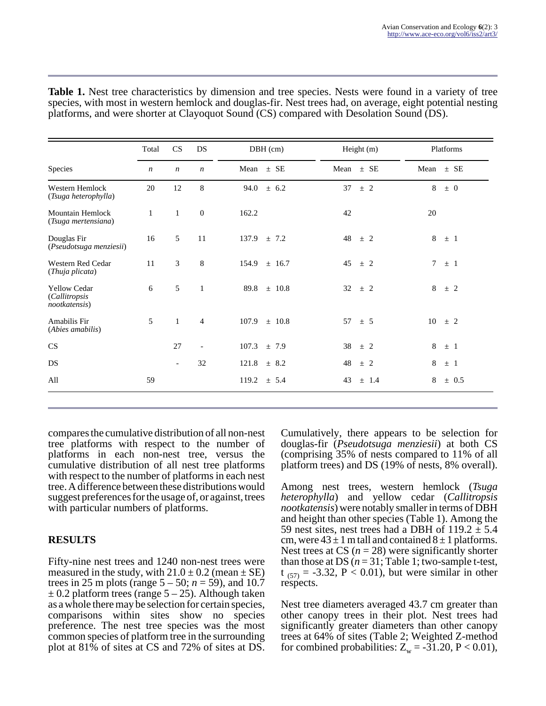|                                                                | Total            | CS                       | DS                       | DBH (cm)            | Height (m)       | Platforms         |
|----------------------------------------------------------------|------------------|--------------------------|--------------------------|---------------------|------------------|-------------------|
| <b>Species</b>                                                 | $\boldsymbol{n}$ | $\boldsymbol{n}$         | $\boldsymbol{n}$         | Mean $\pm$ SE       | $\pm$ SE<br>Mean | Mean $\pm$ SE     |
| Western Hemlock<br>(Tsuga heterophylla)                        | 20               | 12                       | 8                        | 94.0<br>± 6.2       | 37<br>± 2        | 8<br>$\pm 0$      |
| Mountain Hemlock<br>(Tsuga mertensiana)                        | $\mathbf{1}$     | $\mathbf{1}$             | $\overline{0}$           | 162.2               | 42               | 20                |
| Douglas Fir<br>(Pseudotsuga menziesii)                         | 16               | 5                        | 11                       | 137.9<br>$\pm$ 7.2  | 48<br>$\pm$ 2    | 8<br>$\pm$ 1      |
| Western Red Cedar<br>(Thuja plicata)                           | 11               | 3                        | 8                        | 154.9<br>$\pm$ 16.7 | 45<br>$\pm$ 2    | $\tau$<br>$\pm$ 1 |
| <b>Yellow Cedar</b><br><i>(Callitropsis</i> )<br>nootkatensis) | 6                | 5                        | $\mathbf{1}$             | $89.8 \pm 10.8$     | 32<br>$\pm$ 2    | 8<br>$\pm$ 2      |
| Amabilis Fir<br>(Abies amabilis)                               | 5                | $\mathbf{1}$             | $\overline{4}$           | 107.9<br>$\pm$ 10.8 | 57<br>$\pm$ 5    | 10<br>$\pm$ 2     |
| CS                                                             |                  | 27                       | $\overline{\phantom{a}}$ | 107.3<br>$\pm$ 7.9  | 38<br>$\pm$ 2    | 8<br>$\pm$ 1      |
| DS                                                             |                  | $\overline{\phantom{a}}$ | 32                       | 121.8<br>$\pm$ 8.2  | 48<br>$\pm$ 2    | 8<br>$\pm$ 1      |
| All                                                            | 59               |                          |                          | 119.2 $\pm$ 5.4     | 43<br>$\pm$ 1.4  | 8<br>$\pm$ 0.5    |

**Table 1.** Nest tree characteristics by dimension and tree species. Nests were found in a variety of tree species, with most in western hemlock and douglas-fir. Nest trees had, on average, eight potential nesting platforms, and were shorter at Clayoquot Sound (CS) compared with Desolation Sound (DS).

compares the cumulative distribution of all non-nest tree platforms with respect to the number of platforms in each non-nest tree, versus the cumulative distribution of all nest tree platforms with respect to the number of platforms in each nest tree. A difference between these distributions would suggest preferences for the usage of, or against, trees with particular numbers of platforms.

### **RESULTS**

Fifty-nine nest trees and 1240 non-nest trees were measured in the study, with  $21.0 \pm 0.2$  (mean  $\pm$  SE) trees in 25 m plots (range  $5 - 50$ ;  $n = 59$ ), and 10.7  $\pm$  0.2 platform trees (range 5 – 25). Although taken as a whole there may be selection for certain species, comparisons within sites show no species preference. The nest tree species was the most common species of platform tree in the surrounding plot at 81% of sites at CS and 72% of sites at DS. Cumulatively, there appears to be selection for douglas-fir (*Pseudotsuga menziesii*) at both CS (comprising 35% of nests compared to 11% of all platform trees) and DS (19% of nests, 8% overall).

Among nest trees, western hemlock (*Tsuga heterophylla*) and yellow cedar (*Callitropsis nootkatensis*) were notably smaller in terms of DBH and height than other species (Table 1). Among the 59 nest sites, nest trees had a DBH of  $119.2 \pm 5.4$ cm, were  $43 \pm 1$  m tall and contained  $8 \pm 1$  platforms. Nest trees at CS  $(n = 28)$  were significantly shorter than those at DS  $(n=31; \text{Table 1}; \text{two-sample t-test},$  $t_{(57)} = -3.32$ , P < 0.01), but were similar in other respects.

Nest tree diameters averaged 43.7 cm greater than other canopy trees in their plot. Nest trees had significantly greater diameters than other canopy trees at 64% of sites (Table 2; Weighted Z-method for combined probabilities:  $Z_w = -31.20$ ,  $P < 0.01$ ),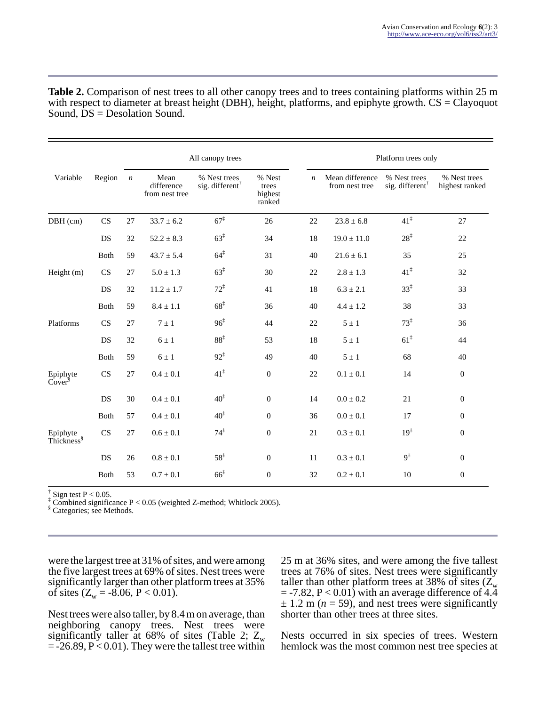|                                    |        | All canopy trees |                                      |                                             |                                      |  | Platform trees only |                                   |                                             |                                |  |
|------------------------------------|--------|------------------|--------------------------------------|---------------------------------------------|--------------------------------------|--|---------------------|-----------------------------------|---------------------------------------------|--------------------------------|--|
| Variable                           | Region | $\boldsymbol{n}$ | Mean<br>difference<br>from nest tree | % Nest trees<br>sig. different <sup>†</sup> | % Nest<br>trees<br>highest<br>ranked |  | $\boldsymbol{n}$    | Mean difference<br>from nest tree | % Nest trees<br>sig. different <sup>†</sup> | % Nest trees<br>highest ranked |  |
| DBH (cm)                           | CS     | 27               | $33.7 \pm 6.2$                       | $67^{\ddagger}$                             | 26                                   |  | 22                  | $23.8 \pm 6.8$                    | $41^{\ddagger}$                             | 27                             |  |
|                                    | DS     | 32               | $52.2 \pm 8.3$                       | $63^{\ddagger}$                             | 34                                   |  | 18                  | $19.0 \pm 11.0$                   | $28^{\ddagger}$                             | 22                             |  |
|                                    | Both   | 59               | $43.7 \pm 5.4$                       | $64^{\ddagger}$                             | 31                                   |  | 40                  | $21.6 \pm 6.1$                    | 35                                          | 25                             |  |
| Height (m)                         | CS     | 27               | $5.0 \pm 1.3$                        | $63^{\ddagger}$                             | 30                                   |  | 22                  | $2.8 \pm 1.3$                     | $41^{\ddagger}$                             | 32                             |  |
|                                    | DS     | 32               | $11.2 \pm 1.7$                       | $72^{\ddagger}$                             | 41                                   |  | 18                  | $6.3 \pm 2.1$                     | $33^{\ddagger}$                             | 33                             |  |
|                                    | Both   | 59               | $8.4 \pm 1.1$                        | $68^{\ddagger}$                             | 36                                   |  | 40                  | $4.4 \pm 1.2$                     | 38                                          | 33                             |  |
| Platforms                          | CS     | 27               | $7 \pm 1$                            | $96^{\ddagger}$                             | 44                                   |  | 22                  | $5 \pm 1$                         | $73^{\ddagger}$                             | 36                             |  |
|                                    | DS     | 32               | $6 \pm 1$                            | $88^{\ddagger}$                             | 53                                   |  | 18                  | $5 \pm 1$                         | $61^{\ddagger}$                             | 44                             |  |
|                                    | Both   | 59               | $6 \pm 1$                            | $92^{\ddagger}$                             | 49                                   |  | 40                  | $5 \pm 1$                         | 68                                          | 40                             |  |
| Epiphyte<br>$Cover$ <sup>§</sup>   | CS     | 27               | $0.4 \pm 0.1$                        | $41^{\ddagger}$                             | $\mathbf{0}$                         |  | 22                  | $0.1\pm0.1$                       | 14                                          | $\mathbf{0}$                   |  |
|                                    | DS     | 30               | $0.4 \pm 0.1$                        | $40^{\ddagger}$                             | $\boldsymbol{0}$                     |  | 14                  | $0.0 \pm 0.2$                     | 21                                          | $\boldsymbol{0}$               |  |
|                                    | Both   | 57               | $0.4 \pm 0.1$                        | $40^{\ddagger}$                             | $\mathbf{0}$                         |  | 36                  | $0.0 \pm 0.1$                     | 17                                          | $\boldsymbol{0}$               |  |
| Epiphyte<br>Thickness <sup>§</sup> | CS     | 27               | $0.6 \pm 0.1$                        | $74^{\ddagger}$                             | $\boldsymbol{0}$                     |  | 21                  | $0.3 \pm 0.1$                     | 19 <sup>‡</sup>                             | $\boldsymbol{0}$               |  |
|                                    | DS     | 26               | $0.8 \pm 0.1$                        | $58^{\ddagger}$                             | $\mathbf{0}$                         |  | 11                  | $0.3 \pm 0.1$                     | $9\ddagger$                                 | $\mathbf{0}$                   |  |
|                                    | Both   | 53               | $0.7 \pm 0.1$                        | $66^{\ddagger}$                             | $\overline{0}$                       |  | 32                  | $0.2 \pm 0.1$                     | 10                                          | $\theta$                       |  |

**Table 2.** Comparison of nest trees to all other canopy trees and to trees containing platforms within 25 m with respect to diameter at breast height (DBH), height, platforms, and epiphyte growth. CS = Clayoquot Sound, DS = Desolation Sound.

† Sign test  $P < 0.05$ .

‡ Combined significance P < 0.05 (weighted Z-method; Whitlock 2005).

§ Categories; see Methods.

were the largest tree at 31% of sites, and were among the five largest trees at 69% of sites. Nest trees were significantly larger than other platform trees at 35% of sites ( $Z_w = -8.06, P < 0.01$ ).

Nest trees were also taller, by 8.4 m on average, than neighboring canopy trees. Nest trees were significantly taller at 68% of sites (Table 2;  $Z_w$ )  $= -26.89, P < 0.01$ . They were the tallest tree within 25 m at 36% sites, and were among the five tallest trees at 76% of sites. Nest trees were significantly taller than other platform trees at 38% of sites  $(Z_w)$  $= -7.82$ ,  $P < 0.01$ ) with an average difference of 4.4  $\pm$  1.2 m ( $n = 59$ ), and nest trees were significantly shorter than other trees at three sites.

Nests occurred in six species of trees. Western hemlock was the most common nest tree species at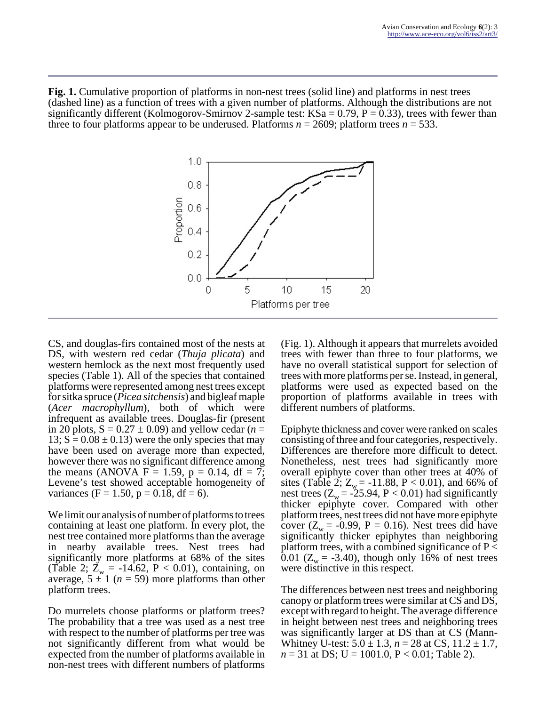**Fig. 1.** Cumulative proportion of platforms in non-nest trees (solid line) and platforms in nest trees (dashed line) as a function of trees with a given number of platforms. Although the distributions are not significantly different (Kolmogorov-Smirnov 2-sample test: KSa = 0.79, P = 0.33), trees with fewer than three to four platforms appear to be underused. Platforms  $n = 2609$ ; platform trees  $n = 533$ .



CS, and douglas-firs contained most of the nests at DS, with western red cedar (*Thuja plicata*) and western hemlock as the next most frequently used species (Table 1). All of the species that contained platforms were represented among nest trees except for sitka spruce (*Picea sitchensis*) and bigleaf maple (*Acer macrophyllum*), both of which were infrequent as available trees. Douglas-fir (present in 20 plots,  $S = 0.27 \pm 0.09$ ) and yellow cedar (*n* = 13;  $S = 0.08 \pm 0.13$ ) were the only species that may have been used on average more than expected, however there was no significant difference among the means (ANOVA F = 1.59, p = 0.14, df = 7; Levene's test showed acceptable homogeneity of variances (F = 1.50, p = 0.18, df = 6).

We limit our analysis of number of platforms to trees containing at least one platform. In every plot, the nest tree contained more platforms than the average in nearby available trees. Nest trees had significantly more platforms at 68% of the sites (Table 2;  $Z_w = -14.62$ ,  $P < 0.01$ ), containing, on average,  $5 \pm 1$  ( $n = 59$ ) more platforms than other platform trees.

Do murrelets choose platforms or platform trees? The probability that a tree was used as a nest tree with respect to the number of platforms per tree was not significantly different from what would be expected from the number of platforms available in non-nest trees with different numbers of platforms (Fig. 1). Although it appears that murrelets avoided trees with fewer than three to four platforms, we have no overall statistical support for selection of trees with more platforms per se. Instead, in general, platforms were used as expected based on the proportion of platforms available in trees with different numbers of platforms.

Epiphyte thickness and cover were ranked on scales consisting of three and four categories, respectively. Differences are therefore more difficult to detect. Nonetheless, nest trees had significantly more overall epiphyte cover than other trees at 40% of sites (Table 2;  $Z_w = -11.88$ ,  $P < 0.01$ ), and 66% of nest trees ( $Z_w = -25.94$ ,  $P < 0.01$ ) had significantly thicker epiphyte cover. Compared with other platform trees, nest trees did not have more epiphyte cover ( $Z_w$  = -0.99, P = 0.16). Nest trees did have significantly thicker epiphytes than neighboring platform trees, with a combined significance of  $P \leq$ 0.01 ( $Z_w$  = -3.40), though only 16% of nest trees were distinctive in this respect.

The differences between nest trees and neighboring canopy or platform trees were similar at CS and DS, except with regard to height. The average difference in height between nest trees and neighboring trees was significantly larger at DS than at CS (Mann-Whitney U-test: 5.0 ± 1.3, *n* = 28 at CS, 11.2 ± 1.7,  $n = 31$  at DS; U = 1001.0, P < 0.01; Table 2).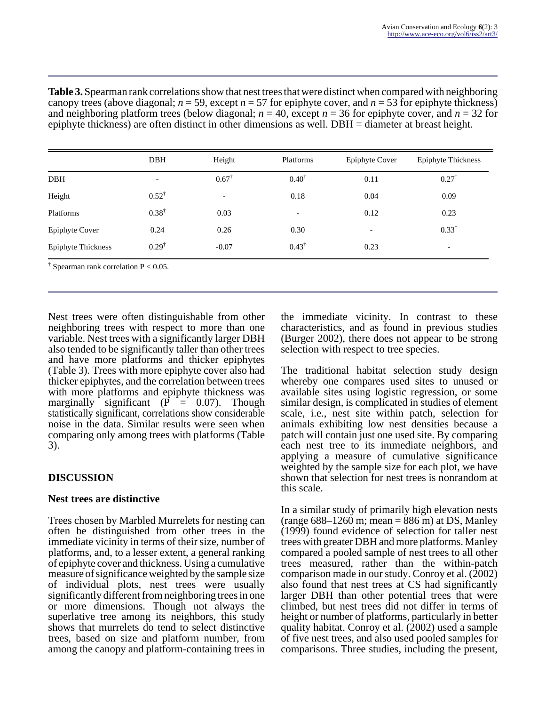**Table 3.** Spearman rank correlations show that nest trees that were distinct when compared with neighboring canopy trees (above diagonal;  $n = 59$ , except  $n = 57$  for epiphyte cover, and  $n = 53$  for epiphyte thickness) and neighboring platform trees (below diagonal;  $n = 40$ , except  $n = 36$  for epiphyte cover, and  $n = 32$  for epiphyte thickness) are often distinct in other dimensions as well. DBH = diameter at breast height.

|                           | DBH                      | Height                   | Platforms        | <b>Epiphyte Cover</b>    | <b>Epiphyte Thickness</b> |
|---------------------------|--------------------------|--------------------------|------------------|--------------------------|---------------------------|
| <b>DBH</b>                | $\overline{\phantom{a}}$ | $0.67^{\dagger}$         | $0.40^{\dagger}$ | 0.11                     | $0.27^{\dagger}$          |
| Height                    | $0.52^{\dagger}$         | $\overline{\phantom{a}}$ | 0.18             | 0.04                     | 0.09                      |
| Platforms                 | $0.38^{\dagger}$         | 0.03                     | -                | 0.12                     | 0.23                      |
| <b>Epiphyte Cover</b>     | 0.24                     | 0.26                     | 0.30             | $\overline{\phantom{a}}$ | $0.33^{\dagger}$          |
| <b>Epiphyte Thickness</b> | $0.29^{\dagger}$         | $-0.07$                  | $0.43^{\dagger}$ | 0.23                     | $\overline{\phantom{0}}$  |

† Spearman rank correlation P < 0.05.

Nest trees were often distinguishable from other neighboring trees with respect to more than one variable. Nest trees with a significantly larger DBH also tended to be significantly taller than other trees and have more platforms and thicker epiphytes (Table 3). Trees with more epiphyte cover also had thicker epiphytes, and the correlation between trees with more platforms and epiphyte thickness was marginally significant  $(P = 0.07)$ . Though statistically significant, correlations show considerable noise in the data. Similar results were seen when comparing only among trees with platforms (Table 3).

### **DISCUSSION**

#### **Nest trees are distinctive**

Trees chosen by Marbled Murrelets for nesting can often be distinguished from other trees in the immediate vicinity in terms of their size, number of platforms, and, to a lesser extent, a general ranking of epiphyte cover and thickness. Using a cumulative measure of significance weighted by the sample size of individual plots, nest trees were usually significantly different from neighboring trees in one or more dimensions. Though not always the superlative tree among its neighbors, this study shows that murrelets do tend to select distinctive trees, based on size and platform number, from among the canopy and platform-containing trees in

the immediate vicinity. In contrast to these characteristics, and as found in previous studies (Burger 2002), there does not appear to be strong selection with respect to tree species.

The traditional habitat selection study design whereby one compares used sites to unused or available sites using logistic regression, or some similar design, is complicated in studies of element scale, i.e., nest site within patch, selection for animals exhibiting low nest densities because a patch will contain just one used site. By comparing each nest tree to its immediate neighbors, and applying a measure of cumulative significance weighted by the sample size for each plot, we have shown that selection for nest trees is nonrandom at this scale.

In a similar study of primarily high elevation nests (range  $688-1260$  m; mean =  $886$  m) at DS, Manley (1999) found evidence of selection for taller nest trees with greater DBH and more platforms. Manley compared a pooled sample of nest trees to all other trees measured, rather than the within-patch comparison made in our study. Conroy et al. (2002) also found that nest trees at CS had significantly larger DBH than other potential trees that were climbed, but nest trees did not differ in terms of height or number of platforms, particularly in better quality habitat. Conroy et al. (2002) used a sample of five nest trees, and also used pooled samples for comparisons. Three studies, including the present,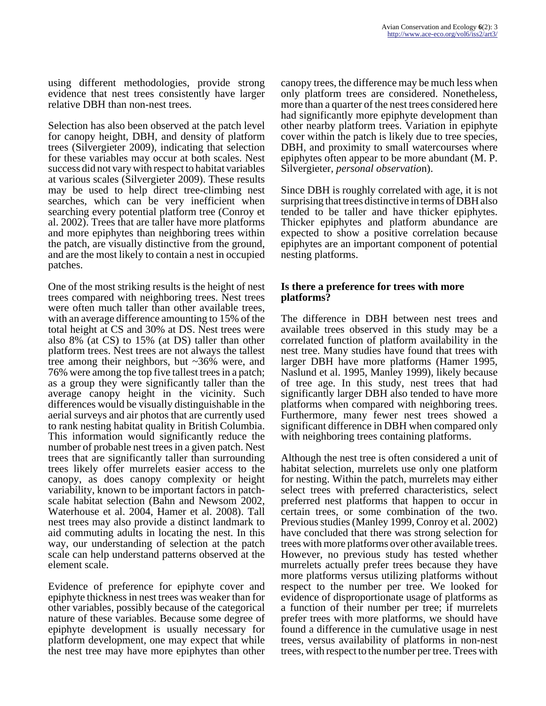using different methodologies, provide strong evidence that nest trees consistently have larger relative DBH than non-nest trees.

Selection has also been observed at the patch level for canopy height, DBH, and density of platform trees (Silvergieter 2009), indicating that selection for these variables may occur at both scales. Nest success did not vary with respect to habitat variables at various scales (Silvergieter 2009). These results may be used to help direct tree-climbing nest searches, which can be very inefficient when searching every potential platform tree (Conroy et al. 2002). Trees that are taller have more platforms and more epiphytes than neighboring trees within the patch, are visually distinctive from the ground, and are the most likely to contain a nest in occupied patches.

One of the most striking results is the height of nest trees compared with neighboring trees. Nest trees were often much taller than other available trees, with an average difference amounting to 15% of the total height at CS and 30% at DS. Nest trees were also 8% (at CS) to 15% (at DS) taller than other platform trees. Nest trees are not always the tallest tree among their neighbors, but ~36% were, and 76% were among the top five tallest trees in a patch; as a group they were significantly taller than the average canopy height in the vicinity. Such differences would be visually distinguishable in the aerial surveys and air photos that are currently used to rank nesting habitat quality in British Columbia. This information would significantly reduce the number of probable nest trees in a given patch. Nest trees that are significantly taller than surrounding trees likely offer murrelets easier access to the canopy, as does canopy complexity or height variability, known to be important factors in patchscale habitat selection (Bahn and Newsom 2002, Waterhouse et al. 2004, Hamer et al. 2008). Tall nest trees may also provide a distinct landmark to aid commuting adults in locating the nest. In this way, our understanding of selection at the patch scale can help understand patterns observed at the element scale.

Evidence of preference for epiphyte cover and epiphyte thickness in nest trees was weaker than for other variables, possibly because of the categorical nature of these variables. Because some degree of epiphyte development is usually necessary for platform development, one may expect that while the nest tree may have more epiphytes than other

canopy trees, the difference may be much less when only platform trees are considered. Nonetheless, more than a quarter of the nest trees considered here had significantly more epiphyte development than other nearby platform trees. Variation in epiphyte cover within the patch is likely due to tree species, DBH, and proximity to small watercourses where epiphytes often appear to be more abundant (M. P. Silvergieter, *personal observatio*n).

Since DBH is roughly correlated with age, it is not surprising that trees distinctive in terms of DBH also tended to be taller and have thicker epiphytes. Thicker epiphytes and platform abundance are expected to show a positive correlation because epiphytes are an important component of potential nesting platforms.

#### **Is there a preference for trees with more platforms?**

The difference in DBH between nest trees and available trees observed in this study may be a correlated function of platform availability in the nest tree. Many studies have found that trees with larger DBH have more platforms (Hamer 1995, Naslund et al. 1995, Manley 1999), likely because of tree age. In this study, nest trees that had significantly larger DBH also tended to have more platforms when compared with neighboring trees. Furthermore, many fewer nest trees showed a significant difference in DBH when compared only with neighboring trees containing platforms.

Although the nest tree is often considered a unit of habitat selection, murrelets use only one platform for nesting. Within the patch, murrelets may either select trees with preferred characteristics, select preferred nest platforms that happen to occur in certain trees, or some combination of the two. Previous studies (Manley 1999, Conroy et al. 2002) have concluded that there was strong selection for trees with more platforms over other available trees. However, no previous study has tested whether murrelets actually prefer trees because they have more platforms versus utilizing platforms without respect to the number per tree. We looked for evidence of disproportionate usage of platforms as a function of their number per tree; if murrelets prefer trees with more platforms, we should have found a difference in the cumulative usage in nest trees, versus availability of platforms in non-nest trees, with respect to the number per tree. Trees with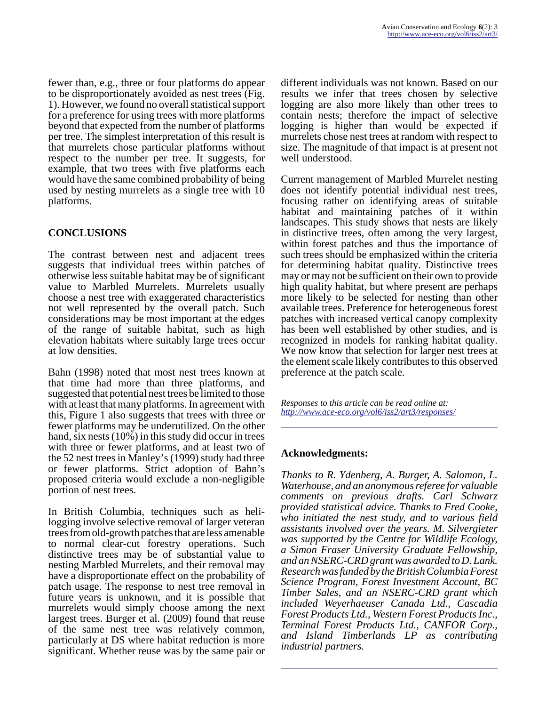fewer than, e.g., three or four platforms do appear to be disproportionately avoided as nest trees (Fig. 1). However, we found no overall statistical support for a preference for using trees with more platforms beyond that expected from the number of platforms per tree. The simplest interpretation of this result is that murrelets chose particular platforms without respect to the number per tree. It suggests, for example, that two trees with five platforms each would have the same combined probability of being used by nesting murrelets as a single tree with 10 platforms.

### **CONCLUSIONS**

The contrast between nest and adjacent trees suggests that individual trees within patches of otherwise less suitable habitat may be of significant value to Marbled Murrelets. Murrelets usually choose a nest tree with exaggerated characteristics not well represented by the overall patch. Such considerations may be most important at the edges of the range of suitable habitat, such as high elevation habitats where suitably large trees occur at low densities.

Bahn (1998) noted that most nest trees known at that time had more than three platforms, and suggested that potential nest trees be limited to those with at least that many platforms. In agreement with this, Figure 1 also suggests that trees with three or fewer platforms may be underutilized. On the other hand, six nests (10%) in this study did occur in trees with three or fewer platforms, and at least two of the 52 nest trees in Manley's (1999) study had three or fewer platforms. Strict adoption of Bahn's proposed criteria would exclude a non-negligible portion of nest trees.

In British Columbia, techniques such as helilogging involve selective removal of larger veteran trees from old-growth patches that are less amenable to normal clear-cut forestry operations. Such distinctive trees may be of substantial value to nesting Marbled Murrelets, and their removal may have a disproportionate effect on the probability of patch usage. The response to nest tree removal in future years is unknown, and it is possible that murrelets would simply choose among the next largest trees. Burger et al. (2009) found that reuse of the same nest tree was relatively common, particularly at DS where habitat reduction is more significant. Whether reuse was by the same pair or

different individuals was not known. Based on our results we infer that trees chosen by selective logging are also more likely than other trees to contain nests; therefore the impact of selective logging is higher than would be expected if murrelets chose nest trees at random with respect to size. The magnitude of that impact is at present not well understood.

Current management of Marbled Murrelet nesting does not identify potential individual nest trees, focusing rather on identifying areas of suitable habitat and maintaining patches of it within landscapes. This study shows that nests are likely in distinctive trees, often among the very largest, within forest patches and thus the importance of such trees should be emphasized within the criteria for determining habitat quality. Distinctive trees may or may not be sufficient on their own to provide high quality habitat, but where present are perhaps more likely to be selected for nesting than other available trees. Preference for heterogeneous forest patches with increased vertical canopy complexity has been well established by other studies, and is recognized in models for ranking habitat quality. We now know that selection for larger nest trees at the element scale likely contributes to this observed preference at the patch scale.

*Responses to this article can be read online at: <http://www.ace-eco.org/vol6/iss2/art3/responses/>*

#### **Acknowledgments:**

*Thanks to R. Ydenberg, A. Burger, A. Salomon, L. Waterhouse, and an anonymous referee for valuable comments on previous drafts. Carl Schwarz provided statistical advice. Thanks to Fred Cooke, who initiated the nest study, and to various field assistants involved over the years. M. Silvergieter was supported by the Centre for Wildlife Ecology, a Simon Fraser University Graduate Fellowship, and an NSERC-CRD grant was awarded to D. Lank. Research was funded by the British Columbia Forest Science Program, Forest Investment Account, BC Timber Sales, and an NSERC-CRD grant which included Weyerhaeuser Canada Ltd., Cascadia Forest Products Ltd., Western Forest Products Inc., Terminal Forest Products Ltd., CANFOR Corp., and Island Timberlands LP as contributing industrial partners.*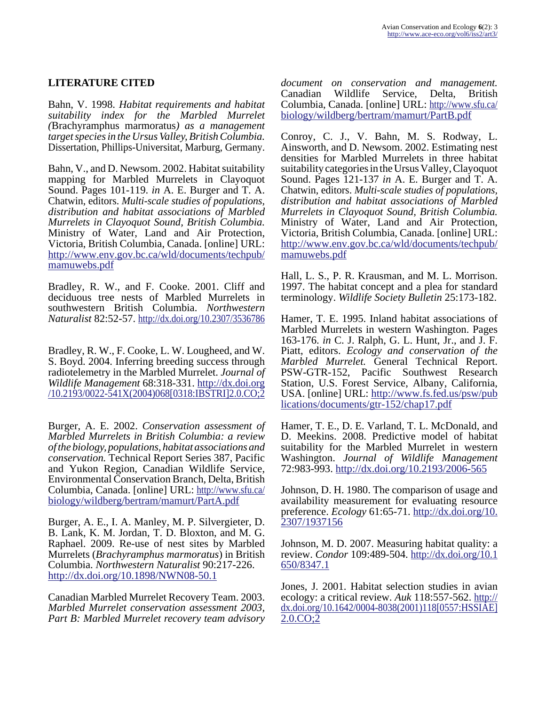#### **LITERATURE CITED**

Bahn, V. 1998. *Habitat requirements and habitat suitability index for the Marbled Murrelet (*Brachyramphus marmoratus*) as a management target species in the Ursus Valley, British Columbia.* Dissertation, Phillips-Universitat, Marburg, Germany.

Bahn, V., and D. Newsom. 2002. Habitat suitability mapping for Marbled Murrelets in Clayoquot Sound. Pages 101-119. *in* A. E. Burger and T. A. Chatwin, editors. *Multi-scale studies of populations, distribution and habitat associations of Marbled Murrelets in Clayoquot Sound, British Columbia.* Ministry of Water, Land and Air Protection, Victoria, British Columbia, Canada. [online] URL: [http://www.env.gov.bc.ca/wld/documents/techpub/](http://www.env.gov.bc.ca/wld/documents/techpub/mamuwebs.pdf) [mamuwebs.pdf](http://www.env.gov.bc.ca/wld/documents/techpub/mamuwebs.pdf)

Bradley, R. W., and F. Cooke. 2001. Cliff and deciduous tree nests of Marbled Murrelets in southwestern British Columbia. *Northwestern Naturalist* 82:52-57.<http://dx.doi.org/10.2307/3536786>

Bradley, R. W., F. Cooke, L. W. Lougheed, and W. S. Boyd. 2004. Inferring breeding success through radiotelemetry in the Marbled Murrelet. *Journal of Wildlife Management* 68:318-331. [http://dx.doi.org](http://dx.doi.org/10.2193/0022-541X(2004)068[0318:IBSTRI]2.0.CO;2) [/10.2193/0022-541X\(2004\)068\[0318:IBSTRI\]2.0.CO;2](http://dx.doi.org/10.2193/0022-541X(2004)068[0318:IBSTRI]2.0.CO;2)

Burger, A. E. 2002. *Conservation assessment of Marbled Murrelets in British Columbia: a review of the biology, populations, habitat associations and conservation.* Technical Report Series 387, Pacific and Yukon Region, Canadian Wildlife Service, Environmental Conservation Branch, Delta, British Columbia, Canada. [online] URL: [http://www.sfu.ca/](http://www.sfu.ca/biology/wildberg/bertram/mamurt/PartA.pdf) [biology/wildberg/bertram/mamurt/PartA.pdf](http://www.sfu.ca/biology/wildberg/bertram/mamurt/PartA.pdf)

Burger, A. E., I. A. Manley, M. P. Silvergieter, D. B. Lank, K. M. Jordan, T. D. Bloxton, and M. G. Raphael. 2009. Re-use of nest sites by Marbled Murrelets (*Brachyramphus marmoratus*) in British Columbia. *Northwestern Naturalist* 90:217-226. <http://dx.doi.org/10.1898/NWN08-50.1>

Canadian Marbled Murrelet Recovery Team. 2003. *Marbled Murrelet conservation assessment 2003, Part B: Marbled Murrelet recovery team advisory* *document on conservation and management.* Service, Delta, British Columbia, Canada. [online] URL: [http://www.sfu.ca/](http://www.sfu.ca/biology/wildberg/bertram/mamurt/PartB.pdf) [biology/wildberg/bertram/mamurt/PartB.pdf](http://www.sfu.ca/biology/wildberg/bertram/mamurt/PartB.pdf)

Conroy, C. J., V. Bahn, M. S. Rodway, L. Ainsworth, and D. Newsom. 2002. Estimating nest densities for Marbled Murrelets in three habitat suitability categories in the Ursus Valley, Clayoquot Sound. Pages 121-137 *in* A. E. Burger and T. A. Chatwin, editors. *Multi-scale studies of populations, distribution and habitat associations of Marbled Murrelets in Clayoquot Sound, British Columbia.* Ministry of Water, Land and Air Protection, Victoria, British Columbia, Canada. [online] URL: [http://www.env.gov.bc.ca/wld/documents/techpub/](http://www.env.gov.bc.ca/wld/documents/techpub/mamuwebs.pdf) [mamuwebs.pdf](http://www.env.gov.bc.ca/wld/documents/techpub/mamuwebs.pdf)

Hall, L. S., P. R. Krausman, and M. L. Morrison. 1997. The habitat concept and a plea for standard terminology. *Wildlife Society Bulletin* 25:173-182.

Hamer, T. E. 1995. Inland habitat associations of Marbled Murrelets in western Washington. Pages 163-176. *in* C. J. Ralph, G. L. Hunt, Jr., and J. F. Piatt, editors. *Ecology and conservation of the Marbled Murrelet.* General Technical Report. PSW-GTR-152, Pacific Southwest Research Station, U.S. Forest Service, Albany, California, USA. [online] URL: [http://www.fs.fed.us/psw/pub](http://www.fs.fed.us/psw/publications/documents/gtr-152/chap17.pdf) [lications/documents/gtr-152/chap17.pdf](http://www.fs.fed.us/psw/publications/documents/gtr-152/chap17.pdf)

Hamer, T. E., D. E. Varland, T. L. McDonald, and D. Meekins. 2008. Predictive model of habitat suitability for the Marbled Murrelet in western Washington. *Journal of Wildlife Management* 72:983-993.<http://dx.doi.org/10.2193/2006-565>

Johnson, D. H. 1980. The comparison of usage and availability measurement for evaluating resource preference. *Ecology* 61:65-71. [http://dx.doi.org/10.](http://dx.doi.org/10.2307/1937156) [2307/1937156](http://dx.doi.org/10.2307/1937156)

Johnson, M. D. 2007. Measuring habitat quality: a review. *Condor* 109:489-504. [http://dx.doi.org/10.1](http://dx.doi.org/10.1650/8347.1) [650/8347.1](http://dx.doi.org/10.1650/8347.1)

Jones, J. 2001. Habitat selection studies in avian ecology: a critical review. *Auk* 118:557-562. [http://](http://dx.doi.org/10.1642/0004-8038(2001)118[0557:HSSIAE]2.0.CO;2) dx.doi.org/10.1642/0004-8038(2001)118[0557:HSSIAE] [2.0.CO;2](http://dx.doi.org/10.1642/0004-8038(2001)118[0557:HSSIAE]2.0.CO;2)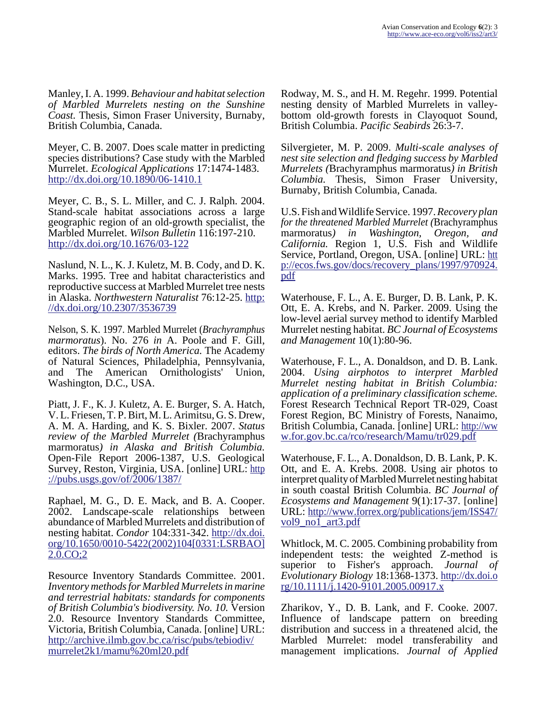Manley, I. A. 1999. *Behaviour and habitat selection of Marbled Murrelets nesting on the Sunshine Coast.* Thesis, Simon Fraser University, Burnaby, British Columbia, Canada.

Meyer, C. B. 2007. Does scale matter in predicting species distributions? Case study with the Marbled Murrelet. *Ecological Applications* 17:1474-1483. <http://dx.doi.org/10.1890/06-1410.1>

Meyer, C. B., S. L. Miller, and C. J. Ralph. 2004. Stand-scale habitat associations across a large geographic region of an old-growth specialist, the Marbled Murrelet. *Wilson Bulletin* 116:197-210. <http://dx.doi.org/10.1676/03-122>

Naslund, N. L., K. J. Kuletz, M. B. Cody, and D. K. Marks. 1995. Tree and habitat characteristics and reproductive success at Marbled Murrelet tree nests in Alaska. *Northwestern Naturalist* 76:12-25. [http:](http://dx.doi.org/10.2307/3536739) [//dx.doi.org/10.2307/3536739](http://dx.doi.org/10.2307/3536739)

Nelson, S. K. 1997. Marbled Murrelet (*Brachyramphus marmoratus*). No. 276 *in* A. Poole and F. Gill, editors. *The birds of North America.* The Academy of Natural Sciences, Philadelphia, Pennsylvania, and The American Ornithologists' Union, Washington, D.C., USA.

Piatt, J. F., K. J. Kuletz, A. E. Burger, S. A. Hatch, V. L. Friesen, T. P. Birt, M. L. Arimitsu, G. S. Drew, A. M. A. Harding, and K. S. Bixler. 2007. *Status review of the Marbled Murrelet (*Brachyramphus marmoratus*) in Alaska and British Columbia.* Open-File Report 2006-1387, U.S. Geological Survey, Reston, Virginia, USA. [online] URL: [http](http://pubs.usgs.gov/of/2006/1387/) [://pubs.usgs.gov/of/2006/1387/](http://pubs.usgs.gov/of/2006/1387/)

Raphael, M. G., D. E. Mack, and B. A. Cooper. 2002. Landscape-scale relationships between abundance of Marbled Murrelets and distribution of nesting habitat. *Condor* 104:331-342. [http://dx.doi.](http://dx.doi.org/10.1650/0010-5422(2002)104[0331:LSRBAO]2.0.CO;2) org/10.1650/0010-5422(2002)104[0331:LSRBAO]  $2.\overline{0}$ .CO;2

Resource Inventory Standards Committee. 2001. *Inventory methods for Marbled Murrelets in marine and terrestrial habitats: standards for components of British Columbia's biodiversity. No. 10.* Version 2.0. Resource Inventory Standards Committee, Victoria, British Columbia, Canada. [online] URL: [http://archive.ilmb.gov.bc.ca/risc/pubs/tebiodiv/](http://archive.ilmb.gov.bc.ca/risc/pubs/tebiodiv/murrelet2k1/mamu%20ml20.pdf) [murrelet2k1/mamu%20ml20.pdf](http://archive.ilmb.gov.bc.ca/risc/pubs/tebiodiv/murrelet2k1/mamu%20ml20.pdf)

Rodway, M. S., and H. M. Regehr. 1999. Potential nesting density of Marbled Murrelets in valleybottom old-growth forests in Clayoquot Sound, British Columbia. *Pacific Seabirds* 26:3-7.

Silvergieter, M. P. 2009. *Multi-scale analyses of nest site selection and fledging success by Marbled Murrelets (*Brachyramphus marmoratus*) in British Columbia.* Thesis, Simon Fraser University, Burnaby, British Columbia, Canada.

U.S. Fish and Wildlife Service. 1997. *Recovery plan for the threatened Marbled Murrelet (*Brachyramphus marmoratus*) in Washington, California.* Region 1, U.S. Fish and Wildlife Service, Portland, Oregon, USA. [online] URL: [htt](http://ecos.fws.gov/docs/recovery_plans/1997/970924.pdf) p://ecos.fws.gov/docs/recovery\_plans/1997/970924. [pdf](http://ecos.fws.gov/docs/recovery_plans/1997/970924.pdf)

Waterhouse, F. L., A. E. Burger, D. B. Lank, P. K. Ott, E. A. Krebs, and N. Parker. 2009. Using the low-level aerial survey method to identify Marbled Murrelet nesting habitat. *BC Journal of Ecosystems and Management* 10(1):80-96.

Waterhouse, F. L., A. Donaldson, and D. B. Lank. 2004. *Using airphotos to interpret Marbled Murrelet nesting habitat in British Columbia: application of a preliminary classification scheme.* Forest Research Technical Report TR-029, Coast Forest Region, BC Ministry of Forests, Nanaimo, British Columbia, Canada. [online] URL: [http://ww](http://www.for.gov.bc.ca/rco/research/Mamu/tr029.pdf) [w.for.gov.bc.ca/rco/research/Mamu/tr029.pdf](http://www.for.gov.bc.ca/rco/research/Mamu/tr029.pdf)

Waterhouse, F. L., A. Donaldson, D. B. Lank, P. K. Ott, and E. A. Krebs. 2008. Using air photos to interpret quality of Marbled Murrelet nesting habitat in south coastal British Columbia. *BC Journal of Ecosystems and Management* 9(1):17-37. [online] URL: [http://www.forrex.org/publications/jem/ISS47/](http://www.forrex.org/publications/jem/ISS47/vol9_no1_art3.pdf) [vol9\\_no1\\_art3.pdf](http://www.forrex.org/publications/jem/ISS47/vol9_no1_art3.pdf)

Whitlock, M. C. 2005. Combining probability from independent tests: the weighted Z-method is superior to Fisher's approach. *Journal of Evolutionary Biology* 18:1368-1373. [http://dx.doi.o](http://dx.doi.org/10.1111/j.1420-9101.2005.00917.x) [rg/10.1111/j.1420-9101.2005.00917.x](http://dx.doi.org/10.1111/j.1420-9101.2005.00917.x)

Zharikov, Y., D. B. Lank, and F. Cooke. 2007. Influence of landscape pattern on breeding distribution and success in a threatened alcid, the Marbled Murrelet: model transferability and management implications. *Journal of Applied*